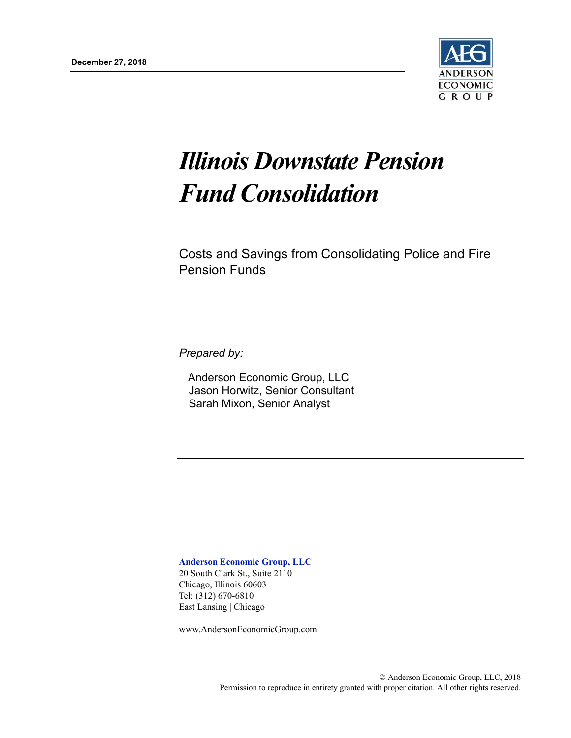

# *Illinois Downstate Pension Fund Consolidation*

Costs and Savings from Consolidating Police and Fire Pension Funds

*Prepared by:*

Anderson Economic Group, LLC Jason Horwitz, Senior Consultant Sarah Mixon, Senior Analyst

**Anderson Economic Group, LLC** 20 South Clark St., Suite 2110 Chicago, Illinois 60603 Tel: (312) 670-6810 East Lansing | Chicago

www.AndersonEconomicGroup.com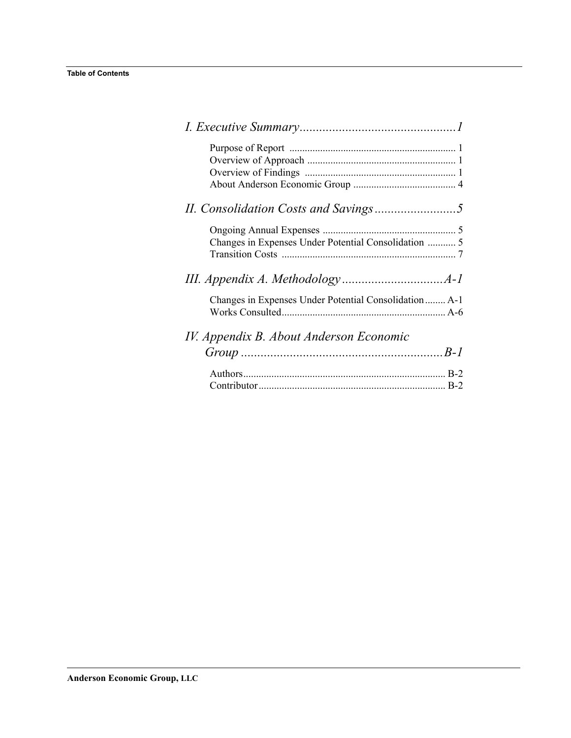| Changes in Expenses Under Potential Consolidation  5  |  |
|-------------------------------------------------------|--|
|                                                       |  |
|                                                       |  |
| Changes in Expenses Under Potential Consolidation A-1 |  |
|                                                       |  |
| IV. Appendix B. About Anderson Economic               |  |
|                                                       |  |
|                                                       |  |
|                                                       |  |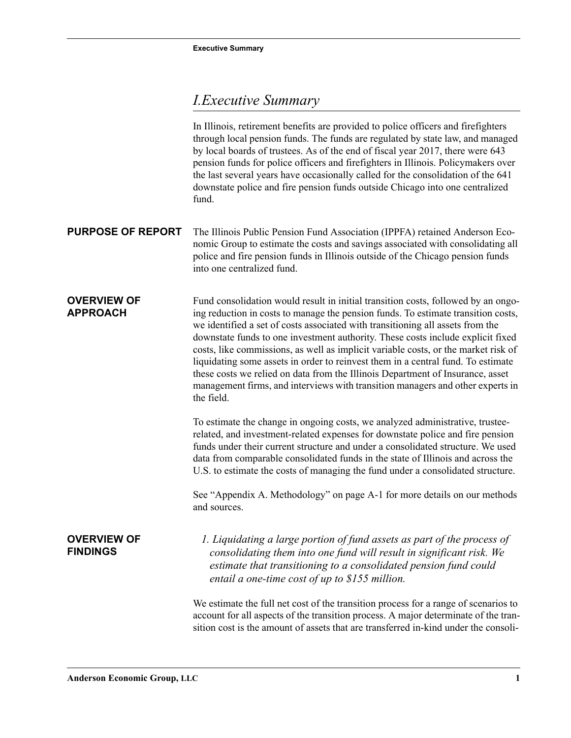## <span id="page-2-0"></span>*I.Executive Summary*

<span id="page-2-4"></span><span id="page-2-3"></span><span id="page-2-2"></span><span id="page-2-1"></span>In Illinois, retirement benefits are provided to police officers and firefighters through local pension funds. The funds are regulated by state law, and managed by local boards of trustees. As of the end of fiscal year 2017, there were 643 pension funds for police officers and firefighters in Illinois. Policymakers over the last several years have occasionally called for the consolidation of the 641 downstate police and fire pension funds outside Chicago into one centralized fund. **PURPOSE OF REPORT** The Illinois Public Pension Fund Association (IPPFA) retained Anderson Economic Group to estimate the costs and savings associated with consolidating all police and fire pension funds in Illinois outside of the Chicago pension funds into one centralized fund. **OVERVIEW OF APPROACH** Fund consolidation would result in initial transition costs, followed by an ongoing reduction in costs to manage the pension funds. To estimate transition costs, we identified a set of costs associated with transitioning all assets from the downstate funds to one investment authority. These costs include explicit fixed costs, like commissions, as well as implicit variable costs, or the market risk of liquidating some assets in order to reinvest them in a central fund. To estimate these costs we relied on data from the Illinois Department of Insurance, asset management firms, and interviews with transition managers and other experts in the field. To estimate the change in ongoing costs, we analyzed administrative, trusteerelated, and investment-related expenses for downstate police and fire pension funds under their current structure and under a consolidated structure. We used data from comparable consolidated funds in the state of Illinois and across the U.S. to estimate the costs of managing the fund under a consolidated structure. See ["Appendix A. Methodology" on page A-1](#page-13-2) for more details on our methods and sources. **OVERVIEW OF FINDINGS**  *1. Liquidating a large portion of fund assets as part of the process of consolidating them into one fund will result in significant risk. We estimate that transitioning to a consolidated pension fund could entail a one-time cost of up to \$155 million.* We estimate the full net cost of the transition process for a range of scenarios to account for all aspects of the transition process. A major determinate of the transition cost is the amount of assets that are transferred in-kind under the consoli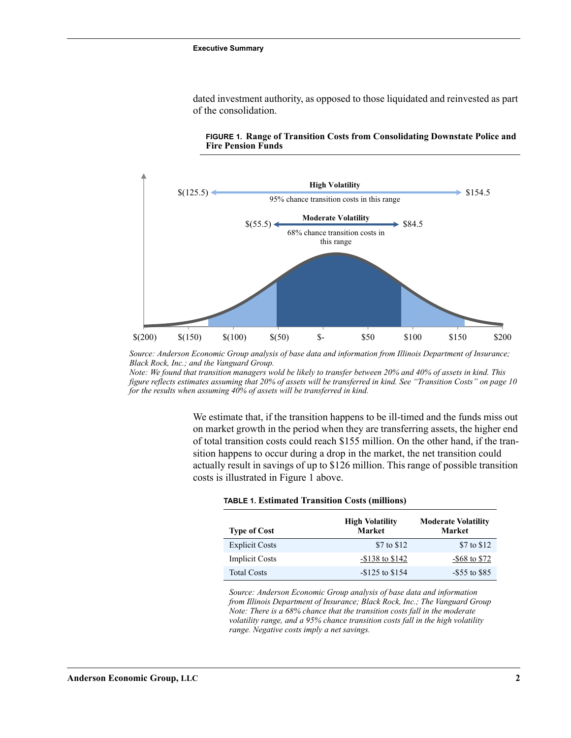dated investment authority, as opposed to those liquidated and reinvested as part of the consolidation.



<span id="page-3-0"></span>**FIGURE 1. Range of Transition Costs from Consolidating Downstate Police and Fire Pension Funds**

*Note: We found that transition managers wold be likely to transfer between 20% and 40% of assets in kind. This for the results when assuming 40% of assets will be transferred in kind. figure reflects estimates assuming that 20% of assets will be transferred in kind. See "Transition Costs" on page 10*

> We estimate that, if the transition happens to be ill-timed and the funds miss out on market growth in the period when they are transferring assets, the higher end of total transition costs could reach \$155 million. On the other hand, if the transition happens to occur during a drop in the market, the net transition could actually result in savings of up to \$126 million. This range of possible transition costs is illustrated in [Figure 1](#page-3-0) above.

| <b>Type of Cost</b>   | <b>High Volatility</b><br><b>Market</b> | <b>Moderate Volatility</b><br>Market |
|-----------------------|-----------------------------------------|--------------------------------------|
| <b>Explicit Costs</b> | \$7 to \$12                             | \$7 to \$12                          |
| <b>Implicit Costs</b> | $-$ \$138 to \$142                      | $-$ \$68 to \$72                     |
| <b>Total Costs</b>    | $-$ \$125 to \$154                      | $-$ \$55 to \$85                     |

*Source: Anderson Economic Group analysis of base data and information from Illinois Department of Insurance; Black Rock, Inc.; The Vanguard Group Note: There is a 68% chance that the transition costs fall in the moderate volatility range, and a 95% chance transition costs fall in the high volatility range. Negative costs imply a net savings.*

*Source: Anderson Economic Group analysis of base data and information from Illinois Department of Insurance; Black Rock, Inc.; and the Vanguard Group.*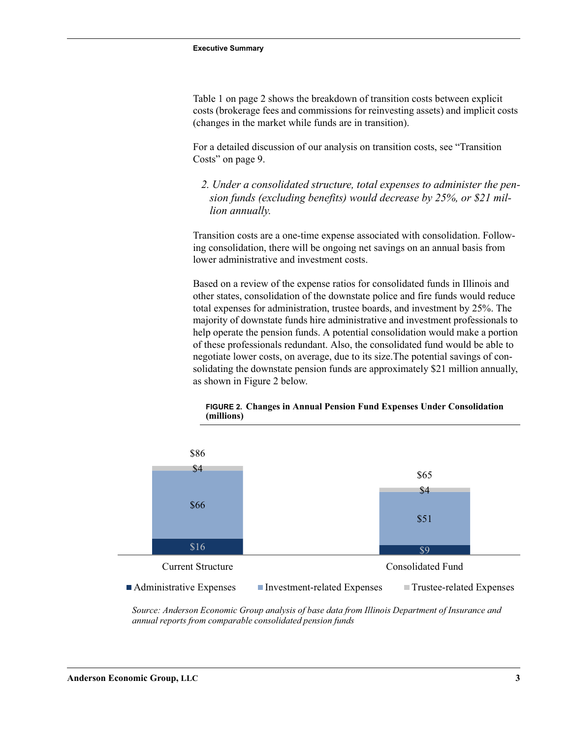Table 1 on page 2 shows the breakdown of transition costs between explicit costs (brokerage fees and commissions for reinvesting assets) and implicit costs (changes in the market while funds are in transition).

For a detailed discussion of our analysis on transition costs, see "Transition Costs" on page 9.

 *2. Under a consolidated structure, total expenses to administer the pension funds (excluding benefits) would decrease by 25%, or \$21 million annually.*

Transition costs are a one-time expense associated with consolidation. Following consolidation, there will be ongoing net savings on an annual basis from lower administrative and investment costs.

Based on a review of the expense ratios for consolidated funds in Illinois and other states, consolidation of the downstate police and fire funds would reduce total expenses for administration, trustee boards, and investment by 25%. The majority of downstate funds hire administrative and investment professionals to help operate the pension funds. A potential consolidation would make a portion of these professionals redundant. Also, the consolidated fund would be able to negotiate lower costs, on average, due to its size.The potential savings of consolidating the downstate pension funds are approximately \$21 million annually, as shown in [Figure 2](#page-4-0) below.



<span id="page-4-0"></span>**FIGURE 2. Changes in Annual Pension Fund Expenses Under Consolidation (millions)**

*Source: Anderson Economic Group analysis of base data from Illinois Department of Insurance and annual reports from comparable consolidated pension funds*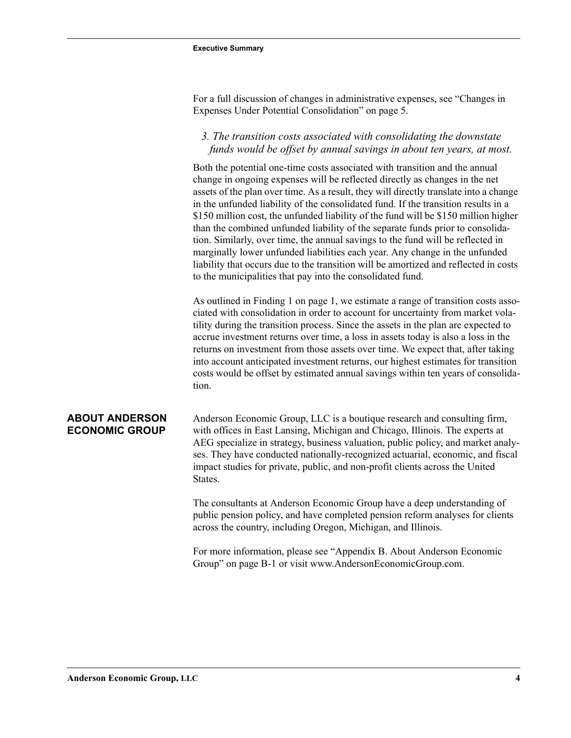For a full discussion of changes in administrative expenses, see ["Changes in](#page-6-3)  [Expenses Under Potential Consolidation" on page 5](#page-6-3).

### *3. The transition costs associated with consolidating the downstate funds would be offset by annual savings in about ten years, at most.*

Both the potential one-time costs associated with transition and the annual change in ongoing expenses will be reflected directly as changes in the net assets of the plan over time. As a result, they will directly translate into a change in the unfunded liability of the consolidated fund. If the transition results in a \$150 million cost, the unfunded liability of the fund will be \$150 million higher than the combined unfunded liability of the separate funds prior to consolidation. Similarly, over time, the annual savings to the fund will be reflected in marginally lower unfunded liabilities each year. Any change in the unfunded liability that occurs due to the transition will be amortized and reflected in costs to the municipalities that pay into the consolidated fund.

As outlined in [Finding 1 on page 1,](#page-2-4) we estimate a range of transition costs associated with consolidation in order to account for uncertainty from market volatility during the transition process. Since the assets in the plan are expected to accrue investment returns over time, a loss in assets today is also a loss in the returns on investment from those assets over time. We expect that, after taking into account anticipated investment returns, our highest estimates for transition costs would be offset by estimated annual savings within ten years of consolidation.

### <span id="page-5-0"></span>**ABOUT ANDERSON ECONOMIC GROUP**

Anderson Economic Group, LLC is a boutique research and consulting firm, with offices in East Lansing, Michigan and Chicago, Illinois. The experts at AEG specialize in strategy, business valuation, public policy, and market analyses. They have conducted nationally-recognized actuarial, economic, and fiscal impact studies for private, public, and non-profit clients across the United States.

The consultants at Anderson Economic Group have a deep understanding of public pension policy, and have completed pension reform analyses for clients across the country, including Oregon, Michigan, and Illinois.

For more information, please see ["Appendix B. About Anderson Economic](#page-20-1)  [Group" on page B-1](#page-20-1) or visit www.AndersonEconomicGroup.com.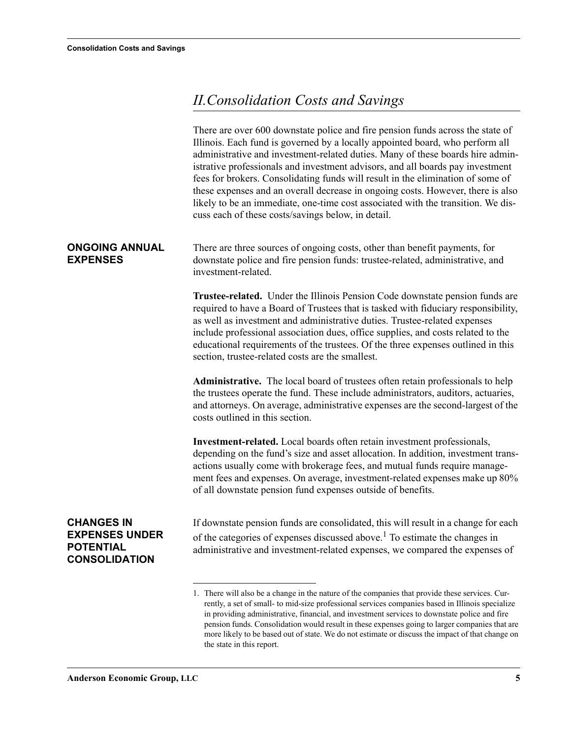## <span id="page-6-0"></span>*II.Consolidation Costs and Savings*

<span id="page-6-3"></span><span id="page-6-2"></span><span id="page-6-1"></span>

|                                                                                        | There are over 600 downstate police and fire pension funds across the state of<br>Illinois. Each fund is governed by a locally appointed board, who perform all<br>administrative and investment-related duties. Many of these boards hire admin-<br>istrative professionals and investment advisors, and all boards pay investment<br>fees for brokers. Consolidating funds will result in the elimination of some of<br>these expenses and an overall decrease in ongoing costs. However, there is also<br>likely to be an immediate, one-time cost associated with the transition. We dis-<br>cuss each of these costs/savings below, in detail. |
|----------------------------------------------------------------------------------------|-----------------------------------------------------------------------------------------------------------------------------------------------------------------------------------------------------------------------------------------------------------------------------------------------------------------------------------------------------------------------------------------------------------------------------------------------------------------------------------------------------------------------------------------------------------------------------------------------------------------------------------------------------|
| <b>ONGOING ANNUAL</b><br><b>EXPENSES</b>                                               | There are three sources of ongoing costs, other than benefit payments, for<br>downstate police and fire pension funds: trustee-related, administrative, and<br>investment-related.                                                                                                                                                                                                                                                                                                                                                                                                                                                                  |
|                                                                                        | <b>Trustee-related.</b> Under the Illinois Pension Code downstate pension funds are<br>required to have a Board of Trustees that is tasked with fiduciary responsibility,<br>as well as investment and administrative duties. Trustee-related expenses<br>include professional association dues, office supplies, and costs related to the<br>educational requirements of the trustees. Of the three expenses outlined in this<br>section, trustee-related costs are the smallest.                                                                                                                                                                  |
|                                                                                        | Administrative. The local board of trustees often retain professionals to help<br>the trustees operate the fund. These include administrators, auditors, actuaries,<br>and attorneys. On average, administrative expenses are the second-largest of the<br>costs outlined in this section.                                                                                                                                                                                                                                                                                                                                                          |
|                                                                                        | Investment-related. Local boards often retain investment professionals,<br>depending on the fund's size and asset allocation. In addition, investment trans-<br>actions usually come with brokerage fees, and mutual funds require manage-<br>ment fees and expenses. On average, investment-related expenses make up 80%<br>of all downstate pension fund expenses outside of benefits.                                                                                                                                                                                                                                                            |
| <b>CHANGES IN</b><br><b>EXPENSES UNDER</b><br><b>POTENTIAL</b><br><b>CONSOLIDATION</b> | If downstate pension funds are consolidated, this will result in a change for each<br>of the categories of expenses discussed above. <sup>1</sup> To estimate the changes in<br>administrative and investment-related expenses, we compared the expenses of                                                                                                                                                                                                                                                                                                                                                                                         |
|                                                                                        | 1. There will also be a change in the nature of the companies that provide these services. Cur-<br>rently, a set of small- to mid-size professional services companies based in Illinois specialize<br>in providing administrative, financial, and investment services to downstate police and fire<br>pension funds. Consolidation would result in these expenses going to larger companies that are<br>more likely to be based out of state. We do not estimate or discuss the impact of that change on<br>the state in this report.                                                                                                              |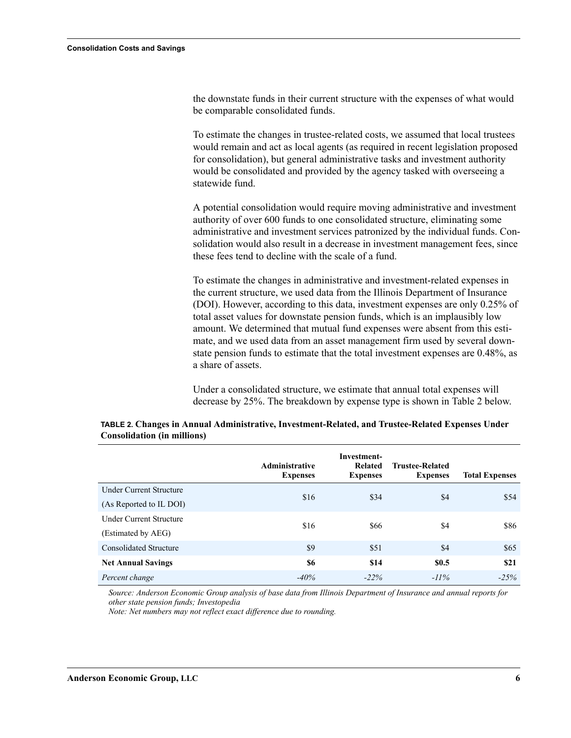the downstate funds in their current structure with the expenses of what would be comparable consolidated funds.

To estimate the changes in trustee-related costs, we assumed that local trustees would remain and act as local agents (as required in recent legislation proposed for consolidation), but general administrative tasks and investment authority would be consolidated and provided by the agency tasked with overseeing a statewide fund.

A potential consolidation would require moving administrative and investment authority of over 600 funds to one consolidated structure, eliminating some administrative and investment services patronized by the individual funds. Consolidation would also result in a decrease in investment management fees, since these fees tend to decline with the scale of a fund.

To estimate the changes in administrative and investment-related expenses in the current structure, we used data from the Illinois Department of Insurance (DOI). However, according to this data, investment expenses are only 0.25% of total asset values for downstate pension funds, which is an implausibly low amount. We determined that mutual fund expenses were absent from this estimate, and we used data from an asset management firm used by several downstate pension funds to estimate that the total investment expenses are 0.48%, as a share of assets.

Under a consolidated structure, we estimate that annual total expenses will decrease by 25%. The breakdown by expense type is shown in [Table 2](#page-7-0) below.

|                                | <b>Administrative</b><br><b>Expenses</b> | Investment-<br><b>Related</b><br><b>Expenses</b> | <b>Trustee-Related</b><br><b>Expenses</b> | <b>Total Expenses</b> |
|--------------------------------|------------------------------------------|--------------------------------------------------|-------------------------------------------|-----------------------|
| <b>Under Current Structure</b> | \$16                                     | \$34                                             | \$4                                       | \$54                  |
| (As Reported to IL DOI)        |                                          |                                                  |                                           |                       |
| <b>Under Current Structure</b> | \$16                                     | \$66                                             | \$4                                       | \$86                  |
| (Estimated by AEG)             |                                          |                                                  |                                           |                       |
| <b>Consolidated Structure</b>  | \$9                                      | \$51                                             | \$4                                       | \$65                  |
| <b>Net Annual Savings</b>      | \$6                                      | \$14                                             | <b>SO.5</b>                               | <b>\$21</b>           |
| Percent change                 | $-40%$                                   | $-22%$                                           | $-11\%$                                   | $-25%$                |

<span id="page-7-0"></span>**TABLE 2. Changes in Annual Administrative, Investment-Related, and Trustee-Related Expenses Under Consolidation (in millions)**

*Source: Anderson Economic Group analysis of base data from Illinois Department of Insurance and annual reports for other state pension funds; Investopedia*

*Note: Net numbers may not reflect exact difference due to rounding.*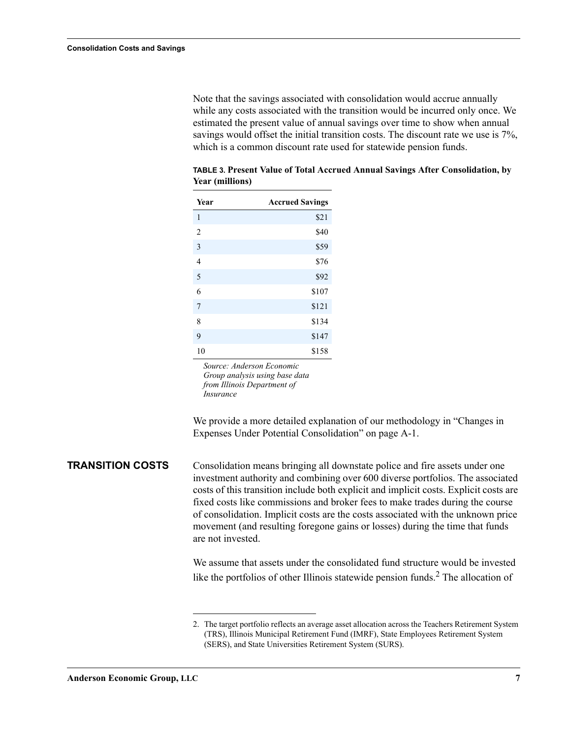Note that the savings associated with consolidation would accrue annually while any costs associated with the transition would be incurred only once. We estimated the present value of annual savings over time to show when annual savings would offset the initial transition costs. The discount rate we use is 7%, which is a common discount rate used for statewide pension funds.

| Year           | <b>Accrued Savings</b> |
|----------------|------------------------|
| 1              | \$21                   |
| $\overline{2}$ | \$40                   |
| 3              | \$59                   |
| $\overline{4}$ | \$76                   |
| 5              | \$92                   |
| 6              | \$107                  |
| 7              | \$121                  |
| 8              | \$134                  |
| 9              | \$147                  |
| 10             | \$158                  |

**TABLE 3. Present Value of Total Accrued Annual Savings After Consolidation, by Year (millions)**

*Source: Anderson Economic Group analysis using base data from Illinois Department of Insurance*

We provide a more detailed explanation of our methodology in "Changes in Expenses Under Potential Consolidation" on page A-1.

<span id="page-8-0"></span>**TRANSITION COSTS** Consolidation means bringing all downstate police and fire assets under one investment authority and combining over 600 diverse portfolios. The associated costs of this transition include both explicit and implicit costs. Explicit costs are fixed costs like commissions and broker fees to make trades during the course of consolidation. Implicit costs are the costs associated with the unknown price movement (and resulting foregone gains or losses) during the time that funds are not invested.

> We assume that assets under the consolidated fund structure would be invested like the portfolios of other Illinois statewide pension funds.<sup>2</sup> The allocation of

<sup>2.</sup> The target portfolio reflects an average asset allocation across the Teachers Retirement System (TRS), Illinois Municipal Retirement Fund (IMRF), State Employees Retirement System (SERS), and State Universities Retirement System (SURS).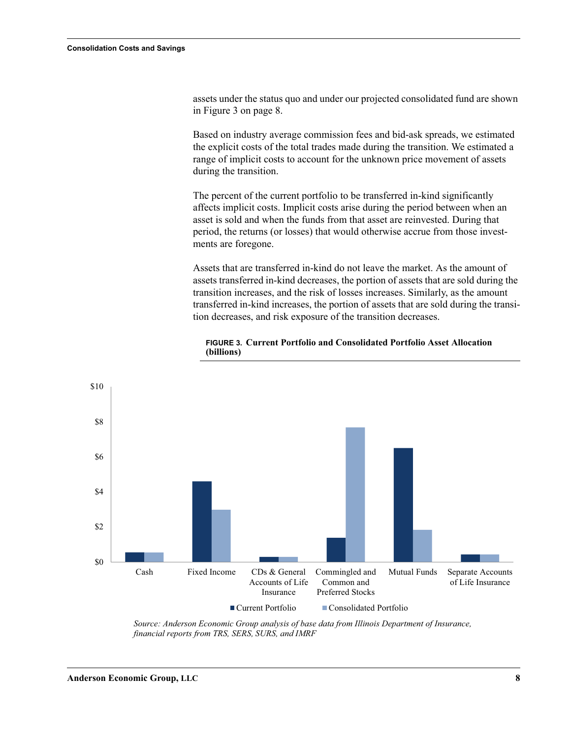assets under the status quo and under our projected consolidated fund are shown in [Figure 3 on page 8.](#page-9-0)

Based on industry average commission fees and bid-ask spreads, we estimated the explicit costs of the total trades made during the transition. We estimated a range of implicit costs to account for the unknown price movement of assets during the transition.

The percent of the current portfolio to be transferred in-kind significantly affects implicit costs. Implicit costs arise during the period between when an asset is sold and when the funds from that asset are reinvested. During that period, the returns (or losses) that would otherwise accrue from those investments are foregone.

Assets that are transferred in-kind do not leave the market. As the amount of assets transferred in-kind decreases, the portion of assets that are sold during the transition increases, and the risk of losses increases. Similarly, as the amount transferred in-kind increases, the portion of assets that are sold during the transition decreases, and risk exposure of the transition decreases.



#### <span id="page-9-0"></span>**FIGURE 3. Current Portfolio and Consolidated Portfolio Asset Allocation (billions)**

*Source: Anderson Economic Group analysis of base data from Illinois Department of Insurance, financial reports from TRS, SERS, SURS, and IMRF*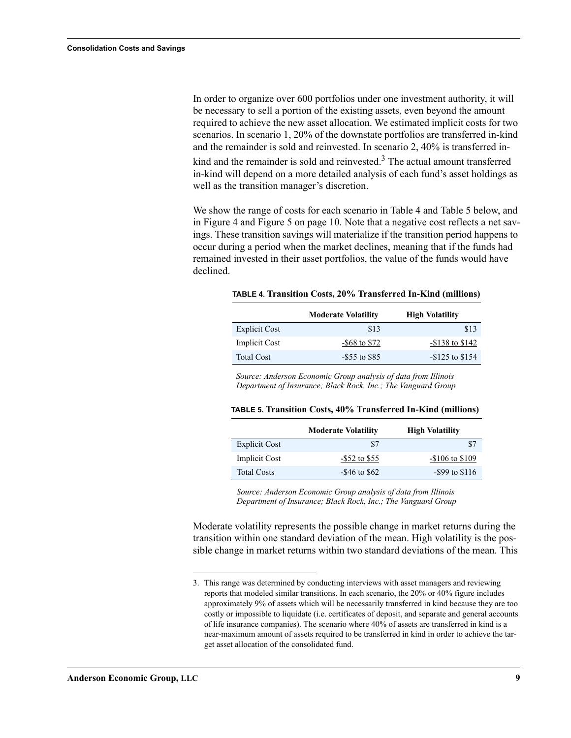In order to organize over 600 portfolios under one investment authority, it will be necessary to sell a portion of the existing assets, even beyond the amount required to achieve the new asset allocation. We estimated implicit costs for two scenarios. In scenario 1, 20% of the downstate portfolios are transferred in-kind and the remainder is sold and reinvested. In scenario 2, 40% is transferred inkind and the remainder is sold and reinvested.<sup>3</sup> The actual amount transferred in-kind will depend on a more detailed analysis of each fund's asset holdings as well as the transition manager's discretion.

We show the range of costs for each scenario in Table 4 and Table 5 below, and in [Figure 4](#page-11-0) and [Figure 5 on page 10](#page-11-1). Note that a negative cost reflects a net savings. These transition savings will materialize if the transition period happens to occur during a period when the market declines, meaning that if the funds had remained invested in their asset portfolios, the value of the funds would have declined.

| TABLE 4. Transition Costs, 20% Transferred In-Kind (millions) |  |  |  |  |
|---------------------------------------------------------------|--|--|--|--|
|---------------------------------------------------------------|--|--|--|--|

|                      | <b>Moderate Volatility</b> | <b>High Volatility</b> |
|----------------------|----------------------------|------------------------|
| <b>Explicit Cost</b> | \$13                       | \$13                   |
| <b>Implicit Cost</b> | $-$ \$68 to \$72           | $-$ \$138 to \$142     |
| <b>Total Cost</b>    | $-$ \$55 to \$85           | $-$ \$125 to \$154     |

*Source: Anderson Economic Group analysis of data from Illinois Department of Insurance; Black Rock, Inc.; The Vanguard Group*

|  |  |  | TABLE 5. Transition Costs, 40% Transferred In-Kind (millions) |  |  |
|--|--|--|---------------------------------------------------------------|--|--|
|--|--|--|---------------------------------------------------------------|--|--|

|                      | <b>Moderate Volatility</b> | <b>High Volatility</b> |
|----------------------|----------------------------|------------------------|
| <b>Explicit Cost</b> | \$7                        | \$7                    |
| Implicit Cost        | $-$ \$52 to \$55           | $-$106$ to \$109       |
| <b>Total Costs</b>   | $-$ \$46 to \$62           | $-$ \$99 to \$116      |

*Source: Anderson Economic Group analysis of data from Illinois Department of Insurance; Black Rock, Inc.; The Vanguard Group*

Moderate volatility represents the possible change in market returns during the transition within one standard deviation of the mean. High volatility is the possible change in market returns within two standard deviations of the mean. This

<sup>3.</sup> This range was determined by conducting interviews with asset managers and reviewing reports that modeled similar transitions. In each scenario, the 20% or 40% figure includes approximately 9% of assets which will be necessarily transferred in kind because they are too costly or impossible to liquidate (i.e. certificates of deposit, and separate and general accounts of life insurance companies). The scenario where 40% of assets are transferred in kind is a near-maximum amount of assets required to be transferred in kind in order to achieve the target asset allocation of the consolidated fund.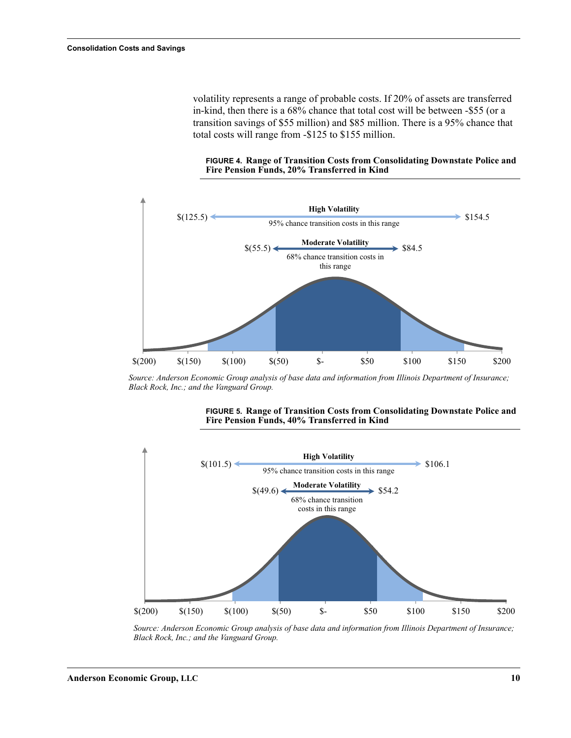volatility represents a range of probable costs. If 20% of assets are transferred in-kind, then there is a 68% chance that total cost will be between -\$55 (or a transition savings of \$55 million) and \$85 million. There is a 95% chance that total costs will range from -\$125 to \$155 million.

#### <span id="page-11-0"></span>**FIGURE 4. Range of Transition Costs from Consolidating Downstate Police and Fire Pension Funds, 20% Transferred in Kind**



*Source: Anderson Economic Group analysis of base data and information from Illinois Department of Insurance; Black Rock, Inc.; and the Vanguard Group.*



#### <span id="page-11-1"></span>**FIGURE 5. Range of Transition Costs from Consolidating Downstate Police and Fire Pension Funds, 40% Transferred in Kind**

*Source: Anderson Economic Group analysis of base data and information from Illinois Department of Insurance; Black Rock, Inc.; and the Vanguard Group.*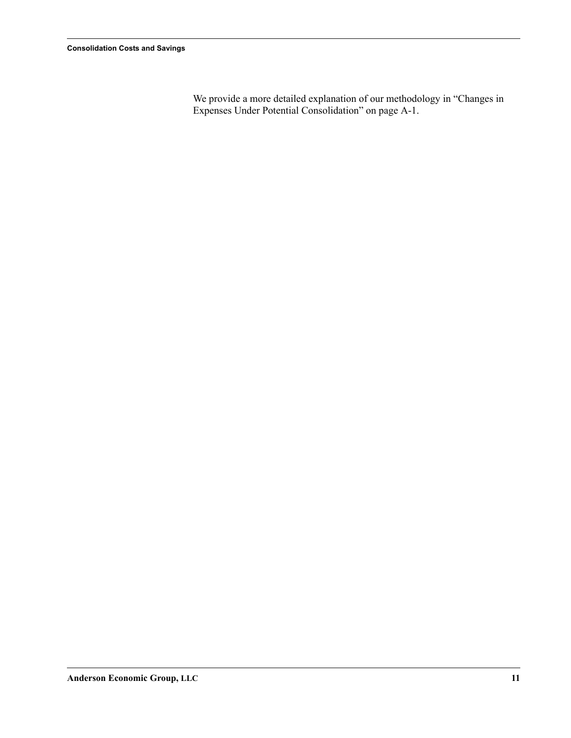We provide a more detailed explanation of our methodology in "Changes in Expenses Under Potential Consolidation" on page A-1.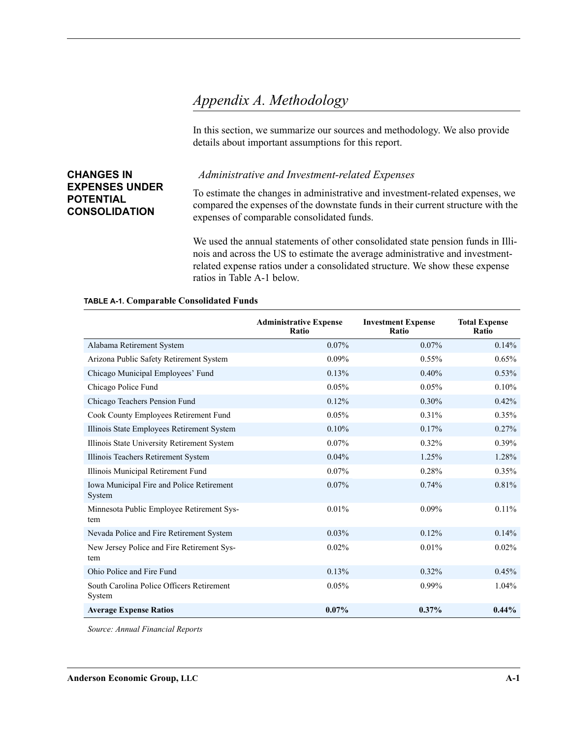### <span id="page-13-2"></span><span id="page-13-0"></span>*Appendix A. Methodology*

In this section, we summarize our sources and methodology. We also provide details about important assumptions for this report.

### <span id="page-13-1"></span>**CHANGES IN EXPENSES UNDER POTENTIAL CONSOLIDATION**

#### *Administrative and Investment-related Expenses*

To estimate the changes in administrative and investment-related expenses, we compared the expenses of the downstate funds in their current structure with the expenses of comparable consolidated funds.

We used the annual statements of other consolidated state pension funds in Illinois and across the US to estimate the average administrative and investmentrelated expense ratios under a consolidated structure. We show these expense ratios in [Table A-1](#page-13-3) below.

#### <span id="page-13-3"></span>**TABLE A-1. Comparable Consolidated Funds**

|                                                     | <b>Administrative Expense</b><br>Ratio | <b>Investment Expense</b><br>Ratio | <b>Total Expense</b><br>Ratio |
|-----------------------------------------------------|----------------------------------------|------------------------------------|-------------------------------|
| Alabama Retirement System                           | $0.07\%$                               | 0.07%                              | 0.14%                         |
| Arizona Public Safety Retirement System             | 0.09%                                  | 0.55%                              | 0.65%                         |
| Chicago Municipal Employees' Fund                   | 0.13%                                  | 0.40%                              | 0.53%                         |
| Chicago Police Fund                                 | 0.05%                                  | 0.05%                              | 0.10%                         |
| Chicago Teachers Pension Fund                       | 0.12%                                  | 0.30%                              | 0.42%                         |
| Cook County Employees Retirement Fund               | 0.05%                                  | 0.31%                              | 0.35%                         |
| Illinois State Employees Retirement System          | 0.10%                                  | 0.17%                              | 0.27%                         |
| Illinois State University Retirement System         | $0.07\%$                               | 0.32%                              | $0.39\%$                      |
| Illinois Teachers Retirement System                 | 0.04%                                  | 1.25%                              | 1.28%                         |
| Illinois Municipal Retirement Fund                  | 0.07%                                  | 0.28%                              | 0.35%                         |
| Iowa Municipal Fire and Police Retirement<br>System | 0.07%                                  | 0.74%                              | 0.81%                         |
| Minnesota Public Employee Retirement Sys-<br>tem    | 0.01%                                  | 0.09%                              | $0.11\%$                      |
| Nevada Police and Fire Retirement System            | 0.03%                                  | 0.12%                              | 0.14%                         |
| New Jersey Police and Fire Retirement Sys-<br>tem   | 0.02%                                  | 0.01%                              | 0.02%                         |
| Ohio Police and Fire Fund                           | 0.13%                                  | 0.32%                              | 0.45%                         |
| South Carolina Police Officers Retirement<br>System | 0.05%                                  | 0.99%                              | 1.04%                         |
| <b>Average Expense Ratios</b>                       | $0.07\%$                               | 0.37%                              | $0.44\%$                      |

*Source: Annual Financial Reports*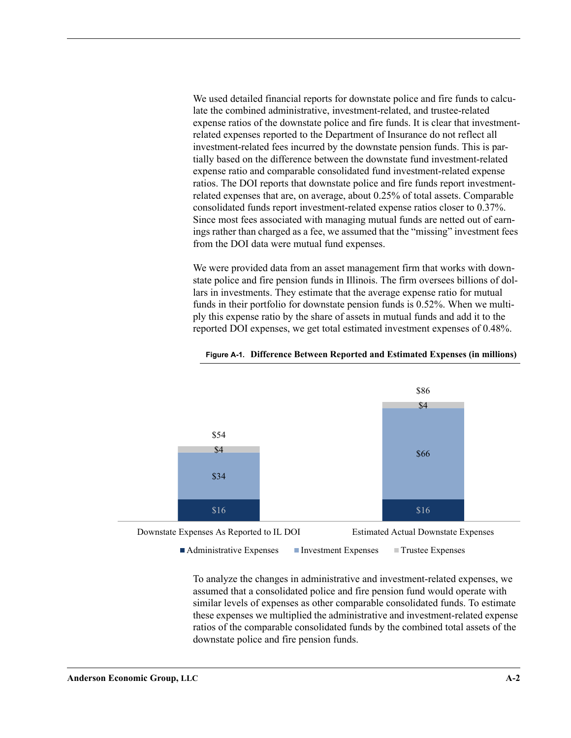We used detailed financial reports for downstate police and fire funds to calculate the combined administrative, investment-related, and trustee-related expense ratios of the downstate police and fire funds. It is clear that investmentrelated expenses reported to the Department of Insurance do not reflect all investment-related fees incurred by the downstate pension funds. This is partially based on the difference between the downstate fund investment-related expense ratio and comparable consolidated fund investment-related expense ratios. The DOI reports that downstate police and fire funds report investmentrelated expenses that are, on average, about 0.25% of total assets. Comparable consolidated funds report investment-related expense ratios closer to 0.37%. Since most fees associated with managing mutual funds are netted out of earnings rather than charged as a fee, we assumed that the "missing" investment fees from the DOI data were mutual fund expenses.

We were provided data from an asset management firm that works with downstate police and fire pension funds in Illinois. The firm oversees billions of dollars in investments. They estimate that the average expense ratio for mutual funds in their portfolio for downstate pension funds is 0.52%. When we multiply this expense ratio by the share of assets in mutual funds and add it to the reported DOI expenses, we get total estimated investment expenses of 0.48%.



#### **Figure A-1. Difference Between Reported and Estimated Expenses (in millions)**

■ Administrative Expenses Investment Expenses Investment Expenses

To analyze the changes in administrative and investment-related expenses, we assumed that a consolidated police and fire pension fund would operate with similar levels of expenses as other comparable consolidated funds. To estimate these expenses we multiplied the administrative and investment-related expense ratios of the comparable consolidated funds by the combined total assets of the downstate police and fire pension funds.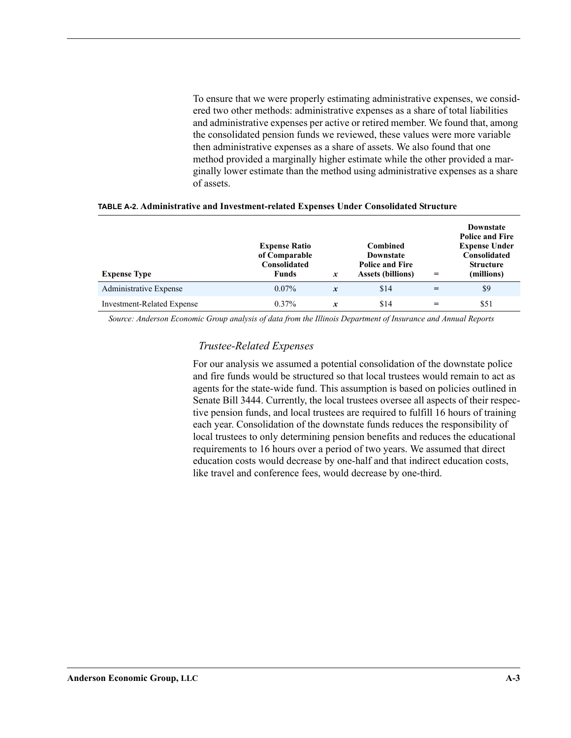To ensure that we were properly estimating administrative expenses, we considered two other methods: administrative expenses as a share of total liabilities and administrative expenses per active or retired member. We found that, among the consolidated pension funds we reviewed, these values were more variable then administrative expenses as a share of assets. We also found that one method provided a marginally higher estimate while the other provided a marginally lower estimate than the method using administrative expenses as a share of assets.

| <b>Expense Type</b>               | <b>Expense Ratio</b><br>of Comparable<br>Consolidated<br>Funds | $\boldsymbol{x}$ | <b>Combined</b><br>Downstate<br><b>Police and Fire</b><br><b>Assets (billions)</b> | $=$ | <b>Downstate</b><br><b>Police and Fire</b><br><b>Expense Under</b><br>Consolidated<br><b>Structure</b><br>(millions) |
|-----------------------------------|----------------------------------------------------------------|------------------|------------------------------------------------------------------------------------|-----|----------------------------------------------------------------------------------------------------------------------|
| Administrative Expense            | $0.07\%$                                                       | $\mathbf{x}$     | \$14                                                                               | =   | \$9                                                                                                                  |
| <b>Investment-Related Expense</b> | $0.37\%$                                                       | $\boldsymbol{x}$ | \$14                                                                               |     | \$51                                                                                                                 |

#### **TABLE A-2. Administrative and Investment-related Expenses Under Consolidated Structure**

*Source: Anderson Economic Group analysis of data from the Illinois Department of Insurance and Annual Reports* 

#### *Trustee-Related Expenses*

For our analysis we assumed a potential consolidation of the downstate police and fire funds would be structured so that local trustees would remain to act as agents for the state-wide fund. This assumption is based on policies outlined in Senate Bill 3444. Currently, the local trustees oversee all aspects of their respective pension funds, and local trustees are required to fulfill 16 hours of training each year. Consolidation of the downstate funds reduces the responsibility of local trustees to only determining pension benefits and reduces the educational requirements to 16 hours over a period of two years. We assumed that direct education costs would decrease by one-half and that indirect education costs, like travel and conference fees, would decrease by one-third.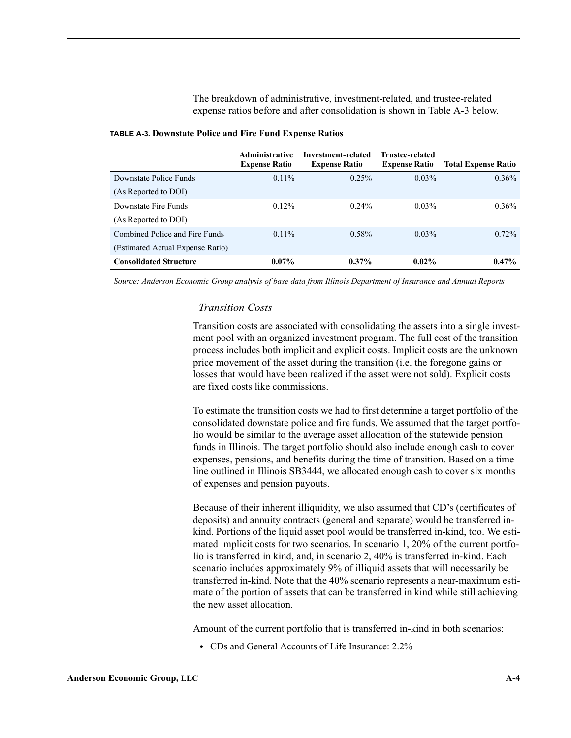The breakdown of administrative, investment-related, and trustee-related expense ratios before and after consolidation is shown in [Table A-3](#page-16-0) below.

|                                  | <b>Administrative</b><br><b>Expense Ratio</b> | Investment-related<br><b>Expense Ratio</b> | Trustee-related<br><b>Expense Ratio</b> | <b>Total Expense Ratio</b> |
|----------------------------------|-----------------------------------------------|--------------------------------------------|-----------------------------------------|----------------------------|
| Downstate Police Funds           | $0.11\%$                                      | 0.25%                                      | $0.03\%$                                | $0.36\%$                   |
| (As Reported to DOI)             |                                               |                                            |                                         |                            |
| Downstate Fire Funds             | $0.12\%$                                      | $0.24\%$                                   | $0.03\%$                                | $0.36\%$                   |
| (As Reported to DOI)             |                                               |                                            |                                         |                            |
| Combined Police and Fire Funds   | $0.11\%$                                      | $0.58\%$                                   | $0.03\%$                                | $0.72\%$                   |
| (Estimated Actual Expense Ratio) |                                               |                                            |                                         |                            |
| <b>Consolidated Structure</b>    | $0.07\%$                                      | $0.37\%$                                   | $0.02\%$                                | $0.47\%$                   |

<span id="page-16-0"></span>

*Source: Anderson Economic Group analysis of base data from Illinois Department of Insurance and Annual Reports*

#### *Transition Costs*

Transition costs are associated with consolidating the assets into a single investment pool with an organized investment program. The full cost of the transition process includes both implicit and explicit costs. Implicit costs are the unknown price movement of the asset during the transition (i.e. the foregone gains or losses that would have been realized if the asset were not sold). Explicit costs are fixed costs like commissions.

To estimate the transition costs we had to first determine a target portfolio of the consolidated downstate police and fire funds. We assumed that the target portfolio would be similar to the average asset allocation of the statewide pension funds in Illinois. The target portfolio should also include enough cash to cover expenses, pensions, and benefits during the time of transition. Based on a time line outlined in Illinois SB3444, we allocated enough cash to cover six months of expenses and pension payouts.

Because of their inherent illiquidity, we also assumed that CD's (certificates of deposits) and annuity contracts (general and separate) would be transferred inkind. Portions of the liquid asset pool would be transferred in-kind, too. We estimated implicit costs for two scenarios. In scenario 1, 20% of the current portfolio is transferred in kind, and, in scenario 2, 40% is transferred in-kind. Each scenario includes approximately 9% of illiquid assets that will necessarily be transferred in-kind. Note that the 40% scenario represents a near-maximum estimate of the portion of assets that can be transferred in kind while still achieving the new asset allocation.

Amount of the current portfolio that is transferred in-kind in both scenarios:

**•** CDs and General Accounts of Life Insurance: 2.2%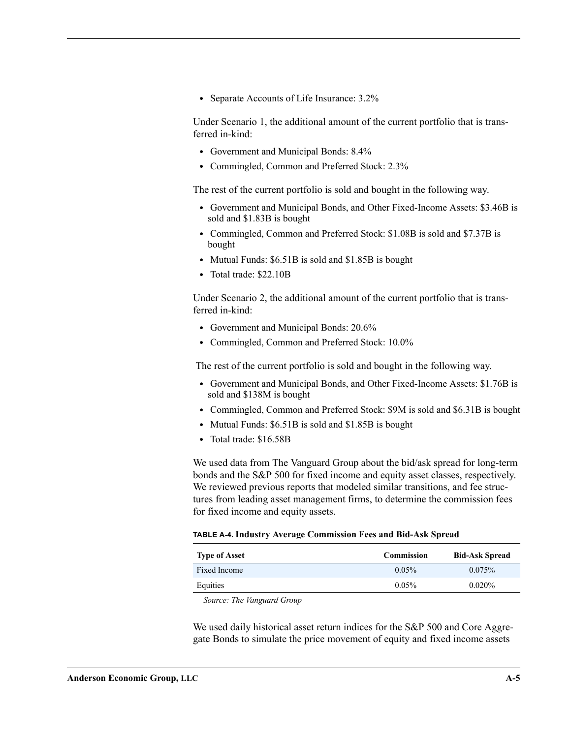**•** Separate Accounts of Life Insurance: 3.2%

Under Scenario 1, the additional amount of the current portfolio that is transferred in-kind:

- **•** Government and Municipal Bonds: 8.4%
- **•** Commingled, Common and Preferred Stock: 2.3%

The rest of the current portfolio is sold and bought in the following way.

- **•** Government and Municipal Bonds, and Other Fixed-Income Assets: \$3.46B is sold and \$1.83B is bought
- **•** Commingled, Common and Preferred Stock: \$1.08B is sold and \$7.37B is bought
- **•** Mutual Funds: \$6.51B is sold and \$1.85B is bought
- **•** Total trade: \$22.10B

Under Scenario 2, the additional amount of the current portfolio that is transferred in-kind:

- **•** Government and Municipal Bonds: 20.6%
- **•** Commingled, Common and Preferred Stock: 10.0%

The rest of the current portfolio is sold and bought in the following way.

- **•** Government and Municipal Bonds, and Other Fixed-Income Assets: \$1.76B is sold and \$138M is bought
- **•** Commingled, Common and Preferred Stock: \$9M is sold and \$6.31B is bought
- **•** Mutual Funds: \$6.51B is sold and \$1.85B is bought
- **•** Total trade: \$16.58B

We used data from The Vanguard Group about the bid/ask spread for long-term bonds and the S&P 500 for fixed income and equity asset classes, respectively. We reviewed previous reports that modeled similar transitions, and fee structures from leading asset management firms, to determine the commission fees for fixed income and equity assets.

#### **TABLE A-4. Industry Average Commission Fees and Bid-Ask Spread**

| <b>Type of Asset</b> | <b>Commission</b> | <b>Bid-Ask Spread</b> |
|----------------------|-------------------|-----------------------|
| Fixed Income         | 0.05%             | $0.075\%$             |
| Equities             | 0.05%             | $0.020\%$             |

*Source: The Vanguard Group*

We used daily historical asset return indices for the S&P 500 and Core Aggregate Bonds to simulate the price movement of equity and fixed income assets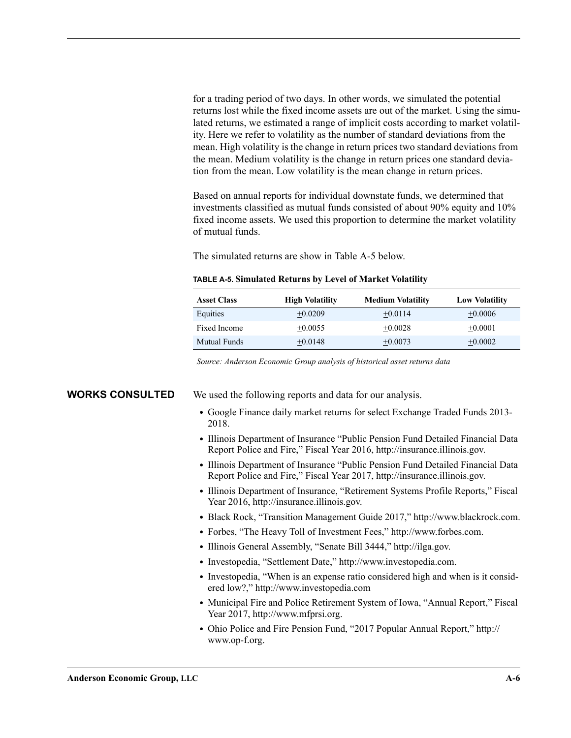for a trading period of two days. In other words, we simulated the potential returns lost while the fixed income assets are out of the market. Using the simulated returns, we estimated a range of implicit costs according to market volatility. Here we refer to volatility as the number of standard deviations from the mean. High volatility is the change in return prices two standard deviations from the mean. Medium volatility is the change in return prices one standard deviation from the mean. Low volatility is the mean change in return prices.

Based on annual reports for individual downstate funds, we determined that investments classified as mutual funds consisted of about 90% equity and 10% fixed income assets. We used this proportion to determine the market volatility of mutual funds.

The simulated returns are show in [Table A-5](#page-18-1) below.

| <b>Asset Class</b> | <b>High Volatility</b> | <b>Medium Volatility</b> | <b>Low Volatility</b> |
|--------------------|------------------------|--------------------------|-----------------------|
| Equities           | $+0.0209$              | $+0.0114$                | $+0.0006$             |
| Fixed Income       | $+0.0055$              | $+0.0028$                | $+0.0001$             |
| Mutual Funds       | $+0.0148$              | $+0.0073$                | $+0.0002$             |

#### <span id="page-18-1"></span>**TABLE A-5. Simulated Returns by Level of Market Volatility**

*Source: Anderson Economic Group analysis of historical asset returns data* 

<span id="page-18-0"></span>**WORKS CONSULTED** We used the following reports and data for our analysis.

- **•** Google Finance daily market returns for select Exchange Traded Funds 2013- 2018.
- **•** Illinois Department of Insurance "Public Pension Fund Detailed Financial Data Report Police and Fire," Fiscal Year 2016, http://insurance.illinois.gov.
- **•** Illinois Department of Insurance "Public Pension Fund Detailed Financial Data Report Police and Fire," Fiscal Year 2017, http://insurance.illinois.gov.
- **•** Illinois Department of Insurance, "Retirement Systems Profile Reports," Fiscal Year 2016, http://insurance.illinois.gov.
- **•** Black Rock, "Transition Management Guide 2017," http://www.blackrock.com.
- **•** Forbes, "The Heavy Toll of Investment Fees," http://www.forbes.com.
- **•** Illinois General Assembly, "Senate Bill 3444," http://ilga.gov.
- **•** Investopedia, "Settlement Date," http://www.investopedia.com.
- **•** Investopedia, "When is an expense ratio considered high and when is it considered low?," http://www.investopedia.com
- **•** Municipal Fire and Police Retirement System of Iowa, "Annual Report," Fiscal Year 2017, http://www.mfprsi.org.
- **•** Ohio Police and Fire Pension Fund, "2017 Popular Annual Report," http:// www.op-f.org.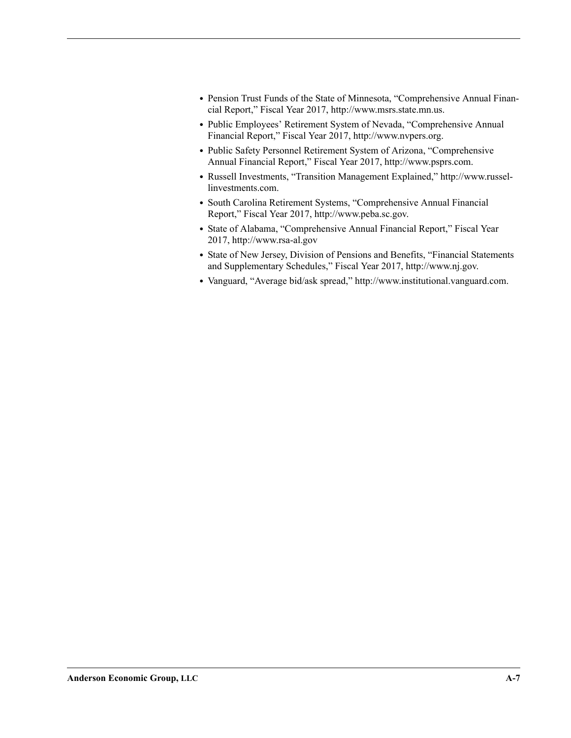- **•** Pension Trust Funds of the State of Minnesota, "Comprehensive Annual Financial Report," Fiscal Year 2017, http://www.msrs.state.mn.us.
- **•** Public Employees' Retirement System of Nevada, "Comprehensive Annual Financial Report," Fiscal Year 2017, http://www.nvpers.org.
- **•** Public Safety Personnel Retirement System of Arizona, "Comprehensive Annual Financial Report," Fiscal Year 2017, http://www.psprs.com.
- **•** Russell Investments, "Transition Management Explained," http://www.russellinvestments.com.
- **•** South Carolina Retirement Systems, "Comprehensive Annual Financial Report," Fiscal Year 2017, http://www.peba.sc.gov.
- **•** State of Alabama, "Comprehensive Annual Financial Report," Fiscal Year 2017, http://www.rsa-al.gov
- **•** State of New Jersey, Division of Pensions and Benefits, "Financial Statements and Supplementary Schedules," Fiscal Year 2017, http://www.nj.gov.
- **•** Vanguard, "Average bid/ask spread," http://www.institutional.vanguard.com.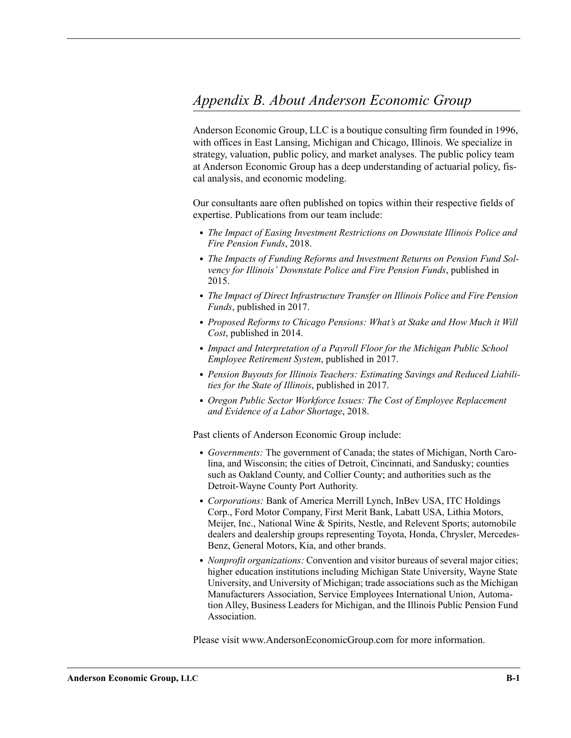<span id="page-20-1"></span><span id="page-20-0"></span>Anderson Economic Group, LLC is a boutique consulting firm founded in 1996, with offices in East Lansing, Michigan and Chicago, Illinois. We specialize in strategy, valuation, public policy, and market analyses. The public policy team at Anderson Economic Group has a deep understanding of actuarial policy, fiscal analysis, and economic modeling.

Our consultants aare often published on topics within their respective fields of expertise. Publications from our team include:

- **•** *The Impact of Easing Investment Restrictions on Downstate Illinois Police and Fire Pension Funds*, 2018.
- **•** *The Impacts of Funding Reforms and Investment Returns on Pension Fund Solvency for Illinois' Downstate Police and Fire Pension Funds*, published in 2015.
- **•** *The Impact of Direct Infrastructure Transfer on Illinois Police and Fire Pension Funds*, published in 2017.
- **•** *Proposed Reforms to Chicago Pensions: What's at Stake and How Much it Will Cost*, published in 2014.
- **•** *Impact and Interpretation of a Payroll Floor for the Michigan Public School Employee Retirement System*, published in 2017.
- **•** *Pension Buyouts for Illinois Teachers: Estimating Savings and Reduced Liabilities for the State of Illinois*, published in 2017.
- **•** *Oregon Public Sector Workforce Issues: The Cost of Employee Replacement and Evidence of a Labor Shortage*, 2018.

Past clients of Anderson Economic Group include:

- **•** *Governments:* The government of Canada; the states of Michigan, North Carolina, and Wisconsin; the cities of Detroit, Cincinnati, and Sandusky; counties such as Oakland County, and Collier County; and authorities such as the Detroit-Wayne County Port Authority.
- **•** *Corporations:* Bank of America Merrill Lynch, InBev USA, ITC Holdings Corp., Ford Motor Company, First Merit Bank, Labatt USA, Lithia Motors, Meijer, Inc., National Wine & Spirits, Nestle, and Relevent Sports; automobile dealers and dealership groups representing Toyota, Honda, Chrysler, Mercedes-Benz, General Motors, Kia, and other brands.
- **•** *Nonprofit organizations:* Convention and visitor bureaus of several major cities; higher education institutions including Michigan State University, Wayne State University, and University of Michigan; trade associations such as the Michigan Manufacturers Association, Service Employees International Union, Automation Alley, Business Leaders for Michigan, and the Illinois Public Pension Fund Association.

Please visit www.AndersonEconomicGroup.com for more information.